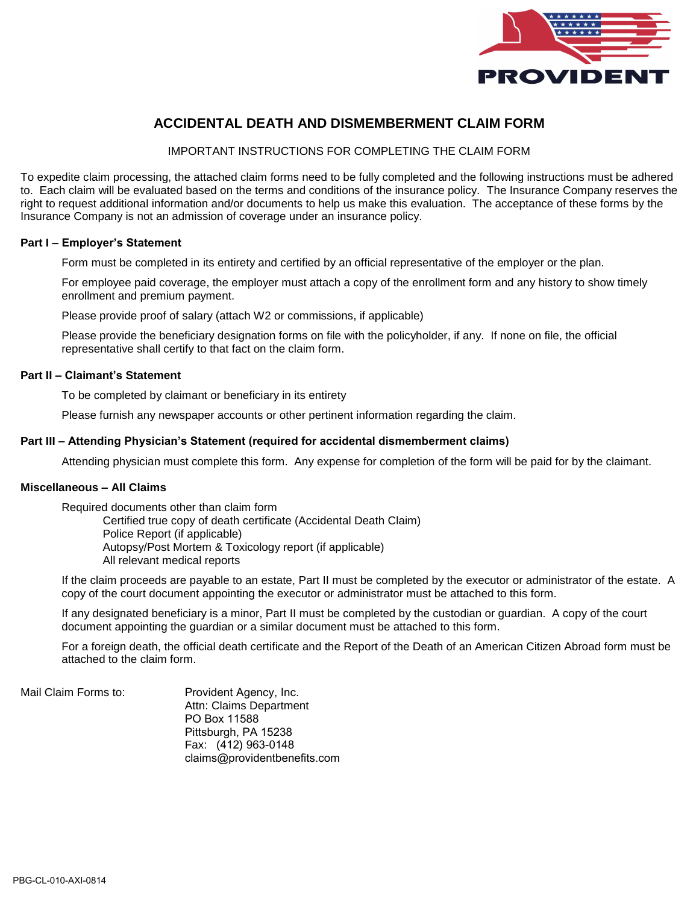

# **ACCIDENTAL DEATH AND DISMEMBERMENT CLAIM FORM**

IMPORTANT INSTRUCTIONS FOR COMPLETING THE CLAIM FORM

To expedite claim processing, the attached claim forms need to be fully completed and the following instructions must be adhered to. Each claim will be evaluated based on the terms and conditions of the insurance policy. The Insurance Company reserves the right to request additional information and/or documents to help us make this evaluation. The acceptance of these forms by the Insurance Company is not an admission of coverage under an insurance policy.

#### **Part I – Employer's Statement**

Form must be completed in its entirety and certified by an official representative of the employer or the plan.

For employee paid coverage, the employer must attach a copy of the enrollment form and any history to show timely enrollment and premium payment.

Please provide proof of salary (attach W2 or commissions, if applicable)

Please provide the beneficiary designation forms on file with the policyholder, if any. If none on file, the official representative shall certify to that fact on the claim form.

#### **Part II – Claimant's Statement**

To be completed by claimant or beneficiary in its entirety

Please furnish any newspaper accounts or other pertinent information regarding the claim.

#### **Part III – Attending Physician's Statement (required for accidental dismemberment claims)**

Attending physician must complete this form. Any expense for completion of the form will be paid for by the claimant.

### **Miscellaneous – All Claims**

Required documents other than claim form

Certified true copy of death certificate (Accidental Death Claim) Police Report (if applicable) Autopsy/Post Mortem & Toxicology report (if applicable) All relevant medical reports

If the claim proceeds are payable to an estate, Part II must be completed by the executor or administrator of the estate. A copy of the court document appointing the executor or administrator must be attached to this form.

If any designated beneficiary is a minor, Part II must be completed by the custodian or guardian. A copy of the court document appointing the guardian or a similar document must be attached to this form.

For a foreign death, the official death certificate and the Report of the Death of an American Citizen Abroad form must be attached to the claim form.

Mail Claim Forms to: Provident Agency, Inc. Attn: Claims Department PO Box 11588 Pittsburgh, PA 15238 Fax: (412) 963-0148 claims@providentbenefits.com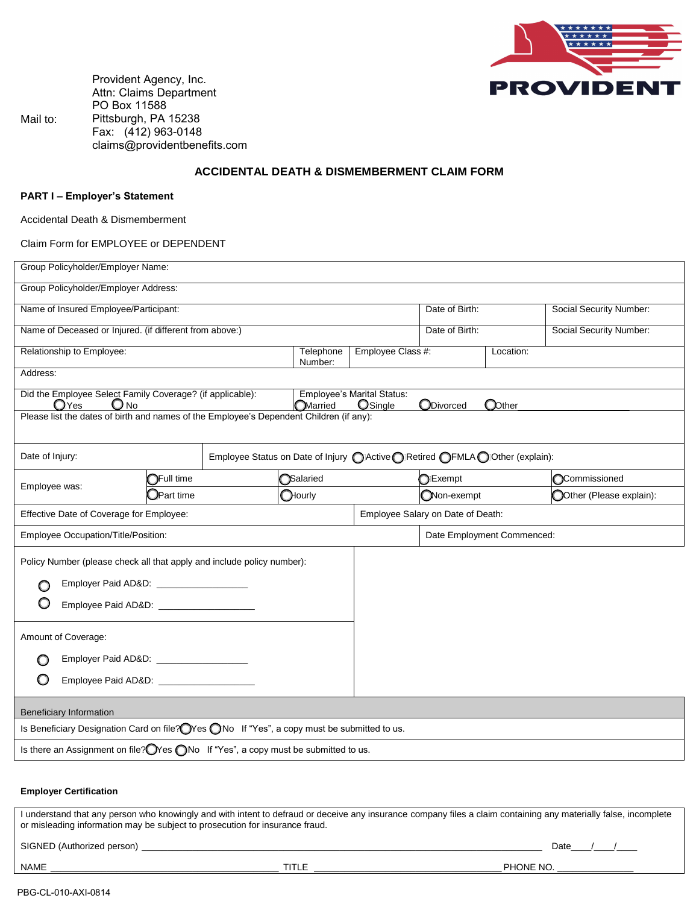

Provident Agency, Inc. Attn: Claims Department PO Box 11588 Pittsburgh, PA 15238 Fax: (412) 963-0148 claims@providentbenefits.com

### **ACCIDENTAL DEATH & DISMEMBERMENT CLAIM FORM**

#### **PART I – Employer's Statement**

Mail to:

Accidental Death & Dismemberment

Claim Form for EMPLOYEE or DEPENDENT

| Group Policyholder/Employer Name:                                                                                                                                                                                                                |                                          |                                                                                         |                                              |                                   |        |                         |  |
|--------------------------------------------------------------------------------------------------------------------------------------------------------------------------------------------------------------------------------------------------|------------------------------------------|-----------------------------------------------------------------------------------------|----------------------------------------------|-----------------------------------|--------|-------------------------|--|
| Group Policyholder/Employer Address:                                                                                                                                                                                                             |                                          |                                                                                         |                                              |                                   |        |                         |  |
| Name of Insured Employee/Participant:                                                                                                                                                                                                            |                                          |                                                                                         |                                              | Date of Birth:                    |        | Social Security Number: |  |
| Name of Deceased or Injured. (if different from above:)                                                                                                                                                                                          |                                          |                                                                                         |                                              | Date of Birth:                    |        | Social Security Number: |  |
| Relationship to Employee:<br>Telephone<br>Number:                                                                                                                                                                                                |                                          |                                                                                         | Employee Class #:                            | Location:                         |        |                         |  |
| Address:                                                                                                                                                                                                                                         |                                          |                                                                                         |                                              |                                   |        |                         |  |
| Did the Employee Select Family Coverage? (if applicable):<br>$\mathbb{O}$ Yes<br>O No                                                                                                                                                            |                                          | <b>OMarried</b>                                                                         | <b>Employee's Marital Status:</b><br>OSingle | ODivorced                         | OOther |                         |  |
|                                                                                                                                                                                                                                                  |                                          | Please list the dates of birth and names of the Employee's Dependent Children (if any): |                                              |                                   |        |                         |  |
|                                                                                                                                                                                                                                                  |                                          |                                                                                         |                                              |                                   |        |                         |  |
| Date of Injury:                                                                                                                                                                                                                                  |                                          | Employee Status on Date of Injury CLACtive CLACTER CEMLA CLOTHER (explain):             |                                              |                                   |        |                         |  |
| Employee was:                                                                                                                                                                                                                                    | Full time                                | Salaried                                                                                |                                              | Exempt                            |        | Commissioned            |  |
|                                                                                                                                                                                                                                                  | JPart time                               | Hourly                                                                                  |                                              | Non-exempt                        |        | Other (Please explain): |  |
| Effective Date of Coverage for Employee:                                                                                                                                                                                                         |                                          |                                                                                         |                                              | Employee Salary on Date of Death: |        |                         |  |
| Employee Occupation/Title/Position:                                                                                                                                                                                                              |                                          |                                                                                         |                                              | Date Employment Commenced:        |        |                         |  |
| Policy Number (please check all that apply and include policy number):                                                                                                                                                                           |                                          |                                                                                         |                                              |                                   |        |                         |  |
|                                                                                                                                                                                                                                                  | Employer Paid AD&D: ____________________ |                                                                                         |                                              |                                   |        |                         |  |
|                                                                                                                                                                                                                                                  |                                          |                                                                                         |                                              |                                   |        |                         |  |
|                                                                                                                                                                                                                                                  |                                          |                                                                                         |                                              |                                   |        |                         |  |
| Amount of Coverage:                                                                                                                                                                                                                              |                                          |                                                                                         |                                              |                                   |        |                         |  |
|                                                                                                                                                                                                                                                  | Employer Paid AD&D: ____________________ |                                                                                         |                                              |                                   |        |                         |  |
|                                                                                                                                                                                                                                                  | Employee Paid AD&D: _________________    |                                                                                         |                                              |                                   |        |                         |  |
|                                                                                                                                                                                                                                                  |                                          |                                                                                         |                                              |                                   |        |                         |  |
| Beneficiary Information                                                                                                                                                                                                                          |                                          |                                                                                         |                                              |                                   |        |                         |  |
| Is Beneficiary Designation Card on file? OYes ONo If "Yes", a copy must be submitted to us.                                                                                                                                                      |                                          |                                                                                         |                                              |                                   |        |                         |  |
| Is there an Assignment on file? OYes ONo If "Yes", a copy must be submitted to us.                                                                                                                                                               |                                          |                                                                                         |                                              |                                   |        |                         |  |
|                                                                                                                                                                                                                                                  |                                          |                                                                                         |                                              |                                   |        |                         |  |
| <b>Employer Certification</b>                                                                                                                                                                                                                    |                                          |                                                                                         |                                              |                                   |        |                         |  |
| I understand that any person who knowingly and with intent to defraud or deceive any insurance company files a claim containing any materially false, incomplete<br>or misleading information may be subject to prosecution for insurance fraud. |                                          |                                                                                         |                                              |                                   |        |                         |  |
| SIGNED (Authorized person)<br>Date $\_\_\_\_\_\_\_\_\$                                                                                                                                                                                           |                                          |                                                                                         |                                              |                                   |        |                         |  |

NAME \_\_\_\_\_\_\_\_\_\_\_\_\_\_\_\_\_\_\_\_\_\_\_\_\_\_\_\_\_\_\_\_\_\_\_\_\_\_\_\_\_\_\_\_\_ TITLE \_\_\_\_\_\_\_\_\_\_\_\_\_\_\_\_\_\_\_\_\_\_\_\_\_\_\_\_\_\_\_\_\_\_\_\_\_ PHONE NO. \_\_\_\_\_\_\_\_\_\_\_\_\_\_\_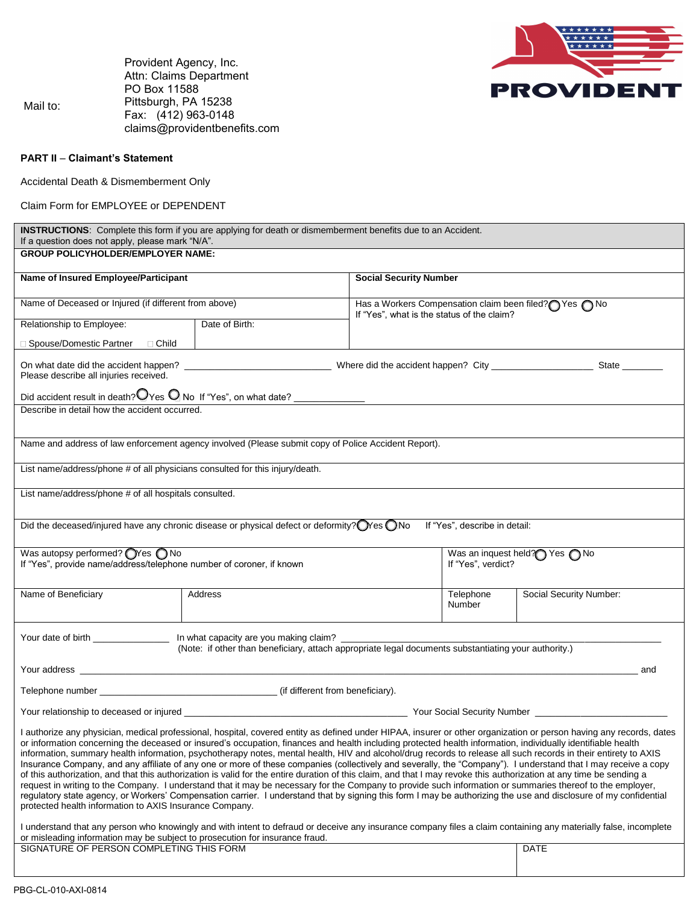

 Mail to: Provident Agency, Inc. Attn: Claims Department PO Box 11588 Pittsburgh, PA 15238 Fax: (412) 963-0148 claims@providentbenefits.com

#### **PART II** – **Claimant's Statement**

Accidental Death & Dismemberment Only

Claim Form for EMPLOYEE or DEPENDENT

| If a question does not apply, please mark "N/A".                                                                            | <b>INSTRUCTIONS:</b> Complete this form if you are applying for death or dismemberment benefits due to an Accident.                                                                                                                                                                                                                                                                                                                                                                                |                                                                                                    |                                                                                                                                                                                                                                                                                                                                                                                                                                                                                                                                                                                                                                                                              |  |  |  |  |
|-----------------------------------------------------------------------------------------------------------------------------|----------------------------------------------------------------------------------------------------------------------------------------------------------------------------------------------------------------------------------------------------------------------------------------------------------------------------------------------------------------------------------------------------------------------------------------------------------------------------------------------------|----------------------------------------------------------------------------------------------------|------------------------------------------------------------------------------------------------------------------------------------------------------------------------------------------------------------------------------------------------------------------------------------------------------------------------------------------------------------------------------------------------------------------------------------------------------------------------------------------------------------------------------------------------------------------------------------------------------------------------------------------------------------------------------|--|--|--|--|
| <b>GROUP POLICYHOLDER/EMPLOYER NAME:</b>                                                                                    |                                                                                                                                                                                                                                                                                                                                                                                                                                                                                                    |                                                                                                    |                                                                                                                                                                                                                                                                                                                                                                                                                                                                                                                                                                                                                                                                              |  |  |  |  |
| Name of Insured Employee/Participant                                                                                        |                                                                                                                                                                                                                                                                                                                                                                                                                                                                                                    | <b>Social Security Number</b>                                                                      |                                                                                                                                                                                                                                                                                                                                                                                                                                                                                                                                                                                                                                                                              |  |  |  |  |
| Name of Deceased or Injured (if different from above)                                                                       |                                                                                                                                                                                                                                                                                                                                                                                                                                                                                                    | Has a Workers Compensation claim been filed? Thes no<br>If "Yes", what is the status of the claim? |                                                                                                                                                                                                                                                                                                                                                                                                                                                                                                                                                                                                                                                                              |  |  |  |  |
| Relationship to Employee:                                                                                                   | Date of Birth:                                                                                                                                                                                                                                                                                                                                                                                                                                                                                     |                                                                                                    |                                                                                                                                                                                                                                                                                                                                                                                                                                                                                                                                                                                                                                                                              |  |  |  |  |
| □ Spouse/Domestic Partner □ Child                                                                                           |                                                                                                                                                                                                                                                                                                                                                                                                                                                                                                    |                                                                                                    |                                                                                                                                                                                                                                                                                                                                                                                                                                                                                                                                                                                                                                                                              |  |  |  |  |
| Please describe all injuries received.                                                                                      |                                                                                                                                                                                                                                                                                                                                                                                                                                                                                                    |                                                                                                    |                                                                                                                                                                                                                                                                                                                                                                                                                                                                                                                                                                                                                                                                              |  |  |  |  |
|                                                                                                                             |                                                                                                                                                                                                                                                                                                                                                                                                                                                                                                    |                                                                                                    |                                                                                                                                                                                                                                                                                                                                                                                                                                                                                                                                                                                                                                                                              |  |  |  |  |
| Describe in detail how the accident occurred.                                                                               |                                                                                                                                                                                                                                                                                                                                                                                                                                                                                                    |                                                                                                    |                                                                                                                                                                                                                                                                                                                                                                                                                                                                                                                                                                                                                                                                              |  |  |  |  |
|                                                                                                                             | Name and address of law enforcement agency involved (Please submit copy of Police Accident Report).                                                                                                                                                                                                                                                                                                                                                                                                |                                                                                                    |                                                                                                                                                                                                                                                                                                                                                                                                                                                                                                                                                                                                                                                                              |  |  |  |  |
| List name/address/phone # of all physicians consulted for this injury/death.                                                |                                                                                                                                                                                                                                                                                                                                                                                                                                                                                                    |                                                                                                    |                                                                                                                                                                                                                                                                                                                                                                                                                                                                                                                                                                                                                                                                              |  |  |  |  |
| List name/address/phone # of all hospitals consulted.                                                                       |                                                                                                                                                                                                                                                                                                                                                                                                                                                                                                    |                                                                                                    |                                                                                                                                                                                                                                                                                                                                                                                                                                                                                                                                                                                                                                                                              |  |  |  |  |
|                                                                                                                             | Did the deceased/injured have any chronic disease or physical defect or deformity? Wes ONo                                                                                                                                                                                                                                                                                                                                                                                                         | If "Yes", describe in detail:                                                                      |                                                                                                                                                                                                                                                                                                                                                                                                                                                                                                                                                                                                                                                                              |  |  |  |  |
| Was autopsy performed? $\bigcirc$ Yes $\bigcirc$ No<br>If "Yes", provide name/address/telephone number of coroner, if known |                                                                                                                                                                                                                                                                                                                                                                                                                                                                                                    | Was an inquest held? Yes no<br>If "Yes", verdict?                                                  |                                                                                                                                                                                                                                                                                                                                                                                                                                                                                                                                                                                                                                                                              |  |  |  |  |
|                                                                                                                             |                                                                                                                                                                                                                                                                                                                                                                                                                                                                                                    |                                                                                                    |                                                                                                                                                                                                                                                                                                                                                                                                                                                                                                                                                                                                                                                                              |  |  |  |  |
| Name of Beneficiary                                                                                                         | Address                                                                                                                                                                                                                                                                                                                                                                                                                                                                                            | Telephone<br><b>Number</b>                                                                         | Social Security Number:                                                                                                                                                                                                                                                                                                                                                                                                                                                                                                                                                                                                                                                      |  |  |  |  |
|                                                                                                                             | Your date of birth _____________________ In what capacity are you making claim? _______<br>(Note: if other than beneficiary, attach appropriate legal documents substantiating your authority.)                                                                                                                                                                                                                                                                                                    |                                                                                                    |                                                                                                                                                                                                                                                                                                                                                                                                                                                                                                                                                                                                                                                                              |  |  |  |  |
|                                                                                                                             |                                                                                                                                                                                                                                                                                                                                                                                                                                                                                                    |                                                                                                    | and                                                                                                                                                                                                                                                                                                                                                                                                                                                                                                                                                                                                                                                                          |  |  |  |  |
|                                                                                                                             | Telephone number (if different from beneficiary).                                                                                                                                                                                                                                                                                                                                                                                                                                                  |                                                                                                    |                                                                                                                                                                                                                                                                                                                                                                                                                                                                                                                                                                                                                                                                              |  |  |  |  |
|                                                                                                                             |                                                                                                                                                                                                                                                                                                                                                                                                                                                                                                    |                                                                                                    |                                                                                                                                                                                                                                                                                                                                                                                                                                                                                                                                                                                                                                                                              |  |  |  |  |
| protected health information to AXIS Insurance Company.                                                                     | or information concerning the deceased or insured's occupation, finances and health including protected health information, individually identifiable health<br>of this authorization, and that this authorization is valid for the entire duration of this claim, and that I may revoke this authorization at any time be sending a<br>request in writing to the Company. I understand that it may be necessary for the Company to provide such information or summaries thereof to the employer, |                                                                                                    | I authorize any physician, medical professional, hospital, covered entity as defined under HIPAA, insurer or other organization or person having any records, dates<br>information, summary health information, psychotherapy notes, mental health, HIV and alcohol/drug records to release all such records in their entirety to AXIS<br>Insurance Company, and any affiliate of any one or more of these companies (collectively and severally, the "Company"). I understand that I may receive a copy<br>requiatory state agency, or Workers' Compensation carrier. I understand that by signing this form I may be authorizing the use and disclosure of my confidential |  |  |  |  |
| or misleading information may be subject to prosecution for insurance fraud.<br>SIGNATURE OF PERSON COMPLETING THIS FORM    |                                                                                                                                                                                                                                                                                                                                                                                                                                                                                                    |                                                                                                    | I understand that any person who knowingly and with intent to defraud or deceive any insurance company files a claim containing any materially false, incomplete<br><b>DATE</b>                                                                                                                                                                                                                                                                                                                                                                                                                                                                                              |  |  |  |  |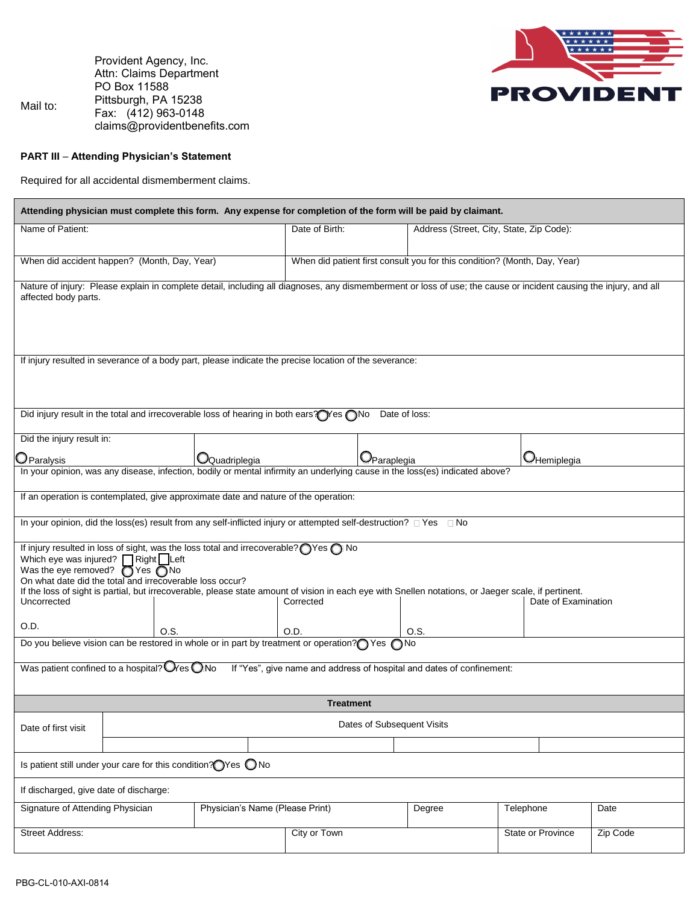Mail to: Provident Agency, Inc. Attn: Claims Department PO Box 11588 Pittsburgh, PA 15238 Fax: (412) 963-0148 claims@providentbenefits.com



# **PART III** – **Attending Physician's Statement**

Required for all accidental dismemberment claims.

| Attending physician must complete this form. Any expense for completion of the form will be paid by claimant.                                                                                                                                                                                                                                                                                                                                                     |                                                                                                                           |                                                                                   |                |                                    |                                          |                     |      |  |  |
|-------------------------------------------------------------------------------------------------------------------------------------------------------------------------------------------------------------------------------------------------------------------------------------------------------------------------------------------------------------------------------------------------------------------------------------------------------------------|---------------------------------------------------------------------------------------------------------------------------|-----------------------------------------------------------------------------------|----------------|------------------------------------|------------------------------------------|---------------------|------|--|--|
| Name of Patient:                                                                                                                                                                                                                                                                                                                                                                                                                                                  |                                                                                                                           |                                                                                   | Date of Birth: |                                    | Address (Street, City, State, Zip Code): |                     |      |  |  |
|                                                                                                                                                                                                                                                                                                                                                                                                                                                                   | When did accident happen? (Month, Day, Year)<br>When did patient first consult you for this condition? (Month, Day, Year) |                                                                                   |                |                                    |                                          |                     |      |  |  |
| Nature of injury: Please explain in complete detail, including all diagnoses, any dismemberment or loss of use; the cause or incident causing the injury, and all<br>affected body parts.                                                                                                                                                                                                                                                                         |                                                                                                                           |                                                                                   |                |                                    |                                          |                     |      |  |  |
| If injury resulted in severance of a body part, please indicate the precise location of the severance:                                                                                                                                                                                                                                                                                                                                                            |                                                                                                                           |                                                                                   |                |                                    |                                          |                     |      |  |  |
| Did injury result in the total and irrecoverable loss of hearing in both ears? Yes no<br>Date of loss:                                                                                                                                                                                                                                                                                                                                                            |                                                                                                                           |                                                                                   |                |                                    |                                          |                     |      |  |  |
| Did the injury result in:<br>$\mathsf{D}$ Paralysis                                                                                                                                                                                                                                                                                                                                                                                                               | $\Box$ Quadriplegia                                                                                                       |                                                                                   |                | $\mathbb{O}_{\mathsf{Paraplegia}}$ |                                          | <b>O</b> Hemiplegia |      |  |  |
| In your opinion, was any disease, infection, bodily or mental infirmity an underlying cause in the loss(es) indicated above?                                                                                                                                                                                                                                                                                                                                      |                                                                                                                           |                                                                                   |                |                                    |                                          |                     |      |  |  |
| If an operation is contemplated, give approximate date and nature of the operation:                                                                                                                                                                                                                                                                                                                                                                               |                                                                                                                           |                                                                                   |                |                                    |                                          |                     |      |  |  |
| In your opinion, did the loss(es) result from any self-inflicted injury or attempted self-destruction? DYes DNo                                                                                                                                                                                                                                                                                                                                                   |                                                                                                                           |                                                                                   |                |                                    |                                          |                     |      |  |  |
| If injury resulted in loss of sight, was the loss total and irrecoverable? ness no<br>Which eye was injured? $\Box$ Right $\Box$ Left<br>Was the eye removed? $\bigcirc$ Yes $\bigcirc$ No<br>On what date did the total and irrecoverable loss occur?<br>If the loss of sight is partial, but irrecoverable, please state amount of vision in each eye with Snellen notations, or Jaeger scale, if pertinent.<br>Date of Examination<br>Uncorrected<br>Corrected |                                                                                                                           |                                                                                   |                |                                    |                                          |                     |      |  |  |
| O.D.                                                                                                                                                                                                                                                                                                                                                                                                                                                              |                                                                                                                           |                                                                                   | O.D.           |                                    | O.S.                                     |                     |      |  |  |
| O.S.<br>Do you believe vision can be restored in whole or in part by treatment or operation? Yes<br>∩No                                                                                                                                                                                                                                                                                                                                                           |                                                                                                                           |                                                                                   |                |                                    |                                          |                     |      |  |  |
| Was patient confined to a hospital? $\mathbb{Q}_{\text{res}}$ $\mathbb{Q}_{\text{No}}$<br>If "Yes", give name and address of hospital and dates of confinement:                                                                                                                                                                                                                                                                                                   |                                                                                                                           |                                                                                   |                |                                    |                                          |                     |      |  |  |
| <b>Treatment</b>                                                                                                                                                                                                                                                                                                                                                                                                                                                  |                                                                                                                           |                                                                                   |                |                                    |                                          |                     |      |  |  |
| Date of first visit                                                                                                                                                                                                                                                                                                                                                                                                                                               | Dates of Subsequent Visits                                                                                                |                                                                                   |                |                                    |                                          |                     |      |  |  |
|                                                                                                                                                                                                                                                                                                                                                                                                                                                                   |                                                                                                                           | Is patient still under your care for this condition? $\bigcirc$ Yes $\bigcirc$ No |                |                                    |                                          |                     |      |  |  |
| If discharged, give date of discharge:                                                                                                                                                                                                                                                                                                                                                                                                                            |                                                                                                                           |                                                                                   |                |                                    |                                          |                     |      |  |  |
| Signature of Attending Physician<br>Physician's Name (Please Print)                                                                                                                                                                                                                                                                                                                                                                                               |                                                                                                                           |                                                                                   |                | Degree                             |                                          | Telephone           | Date |  |  |
| <b>Street Address:</b>                                                                                                                                                                                                                                                                                                                                                                                                                                            |                                                                                                                           | City or Town                                                                      |                | State or Province                  | Zip Code                                 |                     |      |  |  |